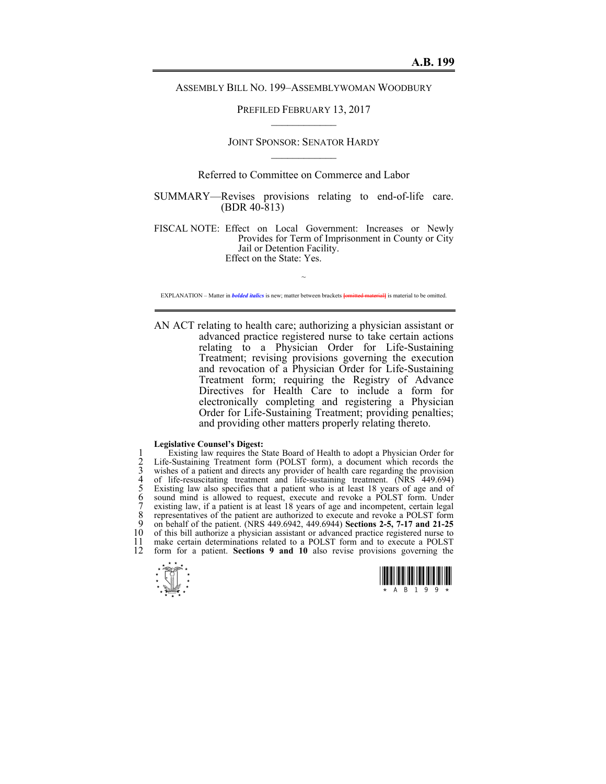ASSEMBLY BILL NO. 199–ASSEMBLYWOMAN WOODBURY

PREFILED FEBRUARY 13, 2017  $\mathcal{L}_\text{max}$ 

# JOINT SPONSOR: SENATOR HARDY  $\mathcal{L}_\text{max}$

## Referred to Committee on Commerce and Labor

SUMMARY—Revises provisions relating to end-of-life care. (BDR 40-813)

FISCAL NOTE: Effect on Local Government: Increases or Newly Provides for Term of Imprisonment in County or City Jail or Detention Facility. Effect on the State: Yes.

 $\sim$ EXPLANATION – Matter in *bolded italics* is new; matter between brackets **[**omitted material**]** is material to be omitted.

AN ACT relating to health care; authorizing a physician assistant or advanced practice registered nurse to take certain actions relating to a Physician Order for Life-Sustaining Treatment; revising provisions governing the execution and revocation of a Physician Order for Life-Sustaining Treatment form; requiring the Registry of Advance Directives for Health Care to include a form for electronically completing and registering a Physician Order for Life-Sustaining Treatment; providing penalties; and providing other matters properly relating thereto.

#### **Legislative Counsel's Digest:**

1 Existing law requires the State Board of Health to adopt a Physician Order for<br>
2 Life-Sustaining Treatment form (POLST form), a document which records the<br>
3 wishes of a patient and directs any provider of health care r Life-Sustaining Treatment form (POLST form), a document which records the wishes of a patient and directs any provider of health care regarding the provision of life-resuscitating treatment and life-sustaining treatment. (NRS 449.694) 5 Existing law also specifies that a patient who is at least 18 years of age and of 6 sound mind is allowed to request, execute and revoke a POLST form. Under 7 existing law, if a patient is at least 18 years of age and incompetent, certain legal 8 representatives of the patient are authorized to execute and revoke a POLST form<br>9 on behalf of the patient (NRS 449 6942 449 6944) Sections 2-5, 7-17 and 21-25 9 on behalf of the patient. (NRS 449.6942, 449.6944) **Sections 2-5, 7-17 and 21-25** 10 of this bill authorize a physician assistant or advanced practice registered nurse to 11 make certain determinations related to a POLST form and to execute a POLST 11 make certain determinations related to a POLST form and to execute a POLST form for a patient **Sections 9 and 10** also revise provisions governing the form for a patient. **Sections 9 and 10** also revise provisions governing the



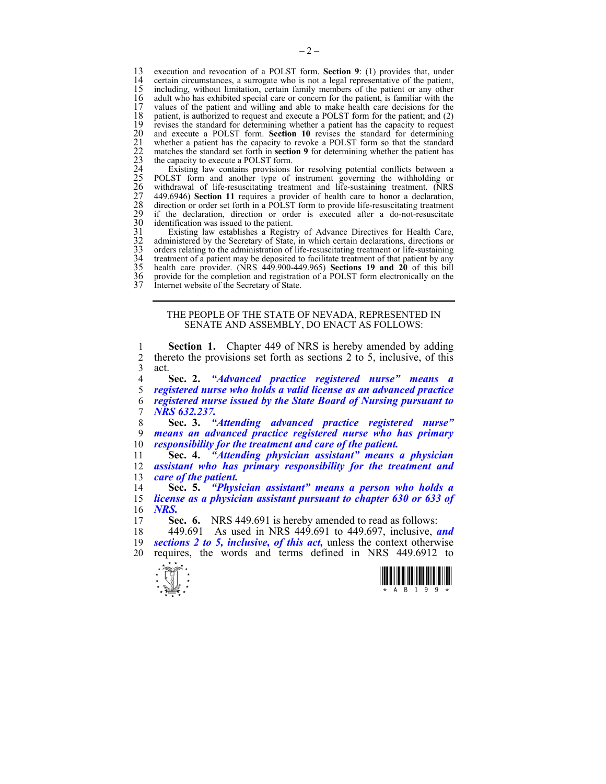13 execution and revocation of a POLST form. **Section 9**: (1) provides that, under 14 certain circumstances, a surrogate who is not a legal representative of the patient, 15 including, without limitation, certain family members of the patient or any other 15 including, without limitation, certain family members of the patient or any other 16 adult who has exhibited special care or concern for the patient, is familiar with the 16 adult who has exhibited special care or concern for the patient, is familiar with the values of the patient and willing and able to make health care decisions for the 17 values of the patient and willing and able to make health care decisions for the 18 patient, is authorized to request and execute a POLST form for the patient; and (2) revises the standard for determining whether a patient has the capacity to request and execute a POLST form. **Section 10** revises the standard for determining 21 whether a patient has the capacity to revoke a POLST form so that the standard matches the standard set forth in **section 9** for determining whether the patient has the capacity to execute a POLST form.

19 revises the standard for determining whether a patient has the capacity to request<br>
20 under a patient has the capacity to revoke a POLST form so that the standard<br>
21 whether a patient has the capacity to revoke a POLS Existing law contains provisions for resolving potential conflicts between a POLST form and another type of instrument governing the withholding or withdrawal of life-resuscitating treatment and life-sustaining treatment. (NRS 27 449.6946) **Section 11** requires a provider of health care to honor a declaration, direction or order set forth in a POLST form to provide life-resuscitating treatment if the declaration, direction or order is executed after a do-not-resuscitate identification was issued to the patient.

Existing law establishes a Registry of Advance Directives for Health Care, administered by the Secretary of State, in which certain declarations, directions or 33 orders relating to the administration of life-resuscitating treatment or life-sustaining 34 treatment of a patient may be deposited to facilitate treatment of that patient by any 35 health care provider. (NRS 449.900-449.965) **Sections 19 and 20** of this bill 36 provide for the completion and registration of a POLST form electronically on the Internet website of the Secretary of State.

### THE PEOPLE OF THE STATE OF NEVADA, REPRESENTED IN SENATE AND ASSEMBLY, DO ENACT AS FOLLOWS:

1 **Section 1.** Chapter 449 of NRS is hereby amended by adding 2 thereto the provisions set forth as sections 2 to 5, inclusive, of this act  $3$  act.<br>4

**Sec. 2.** *"Advanced practice registered nurse" means a registered nurse who holds a valid license as an advanced practice registered nurse issued by the State Board of Nursing pursuant to NRS 632.237.* 

8 **Sec. 3.** *"Attending advanced practice registered nurse"*  9 *means an advanced practice registered nurse who has primary*  10 *responsibility for the treatment and care of the patient.* 

11 **Sec. 4.** *"Attending physician assistant" means a physician*  12 *assistant who has primary responsibility for the treatment and*  13 *care of the patient.* 

14 **Sec. 5.** *"Physician assistant" means a person who holds a*  15 *license as a physician assistant pursuant to chapter 630 or 633 of*  16 *NRS.* 

17 **Sec. 6.** NRS 449.691 is hereby amended to read as follows:

18 449.691 As used in NRS 449.691 to 449.697, inclusive, *and*  19 *sections 2 to 5, inclusive, of this act,* unless the context otherwise 20 requires, the words and terms defined in NRS 449.6912 to



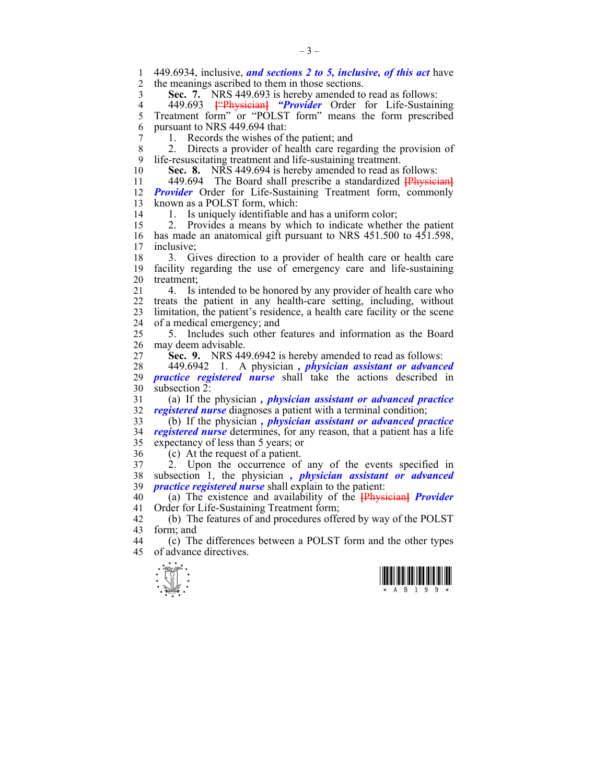$\frac{1}{\sqrt{2}}$ 1 449.6934, inclusive, *and sections 2 to 5, inclusive, of this act* have the meanings ascribed to them in those sections. 3 **Sec. 7.** NRS 449.693 is hereby amended to read as follows: 4 449.693 <sup>["Physician]</sup> *"Provider* Order for Life-Sustaining<br>5 Treatment form" or "POLST form" means the form prescribed Treatment form" or "POLST form" means the form prescribed 6 pursuant to NRS 449.694 that: 7 1. Records the wishes of the patient; and 8 2. Directs a provider of health care regarding the provision of 9 life-resuscitating treatment and life-sustaining treatment. 10 **Sec. 8.** NRS 449.694 is hereby amended to read as follows: 11 449.694 The Board shall prescribe a standardized **[**Physician**]** 12 *Provider* Order for Life-Sustaining Treatment form, commonly 13 known as a POLST form, which: 14 1. Is uniquely identifiable and has a uniform color; 15 2. Provides a means by which to indicate whether the patient 16 has made an anatomical gift pursuant to NRS 451.500 to 451.598, 17 inclusive; 18 3. Gives direction to a provider of health care or health care 19 facility regarding the use of emergency care and life-sustaining 20 treatment; 21 4. Is intended to be honored by any provider of health care who 22 treats the patient in any health-care setting, including, without 23 limitation, the patient's residence, a health care facility or the scene 24 of a medical emergency; and 25 5. Includes such other features and information as the Board 26 may deem advisable. 27 **Sec. 9.** NRS 449.6942 is hereby amended to read as follows: 28 449.6942 1. A physician *, physician assistant or advanced*  29 *practice registered nurse* shall take the actions described in 30 subsection 2: 31 (a) If the physician *, physician assistant or advanced practice*  32 *registered nurse* diagnoses a patient with a terminal condition; 33 (b) If the physician *, physician assistant or advanced practice*  34 *registered nurse* determines, for any reason, that a patient has a life 35 expectancy of less than 5 years; or 36 (c) At the request of a patient.<br>37 2. Upon the occurrence of  $37 \frac{2}{1000}$  Upon the occurrence of any of the events specified in 38 subsection 1, the physician *, physician assistant or advanced*  39 *practice registered nurse* shall explain to the patient: 40 (a) The existence and availability of the **[**Physician**]** *Provider*  41 Order for Life-Sustaining Treatment form; 42 (b) The features of and procedures offered by way of the POLST form: and form; and 44 (c) The differences between a POLST form and the other types 45 of advance directives.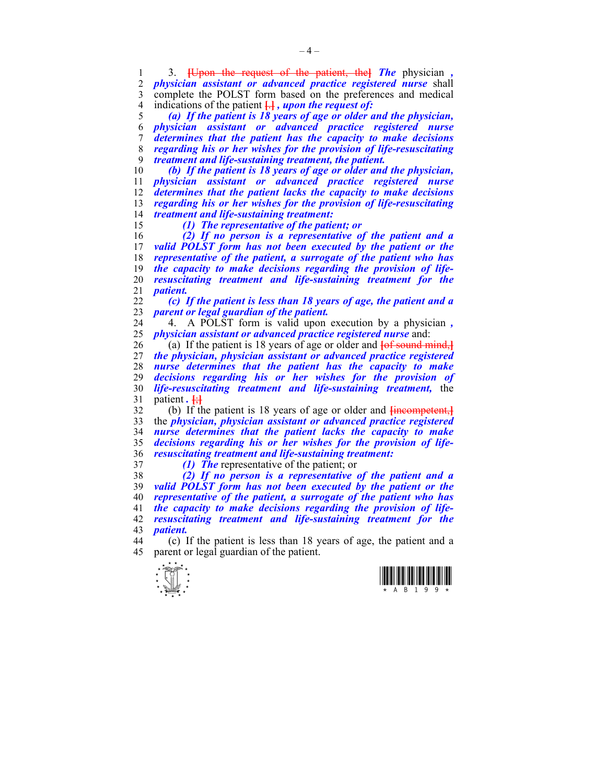1 3. **[**Upon the request of the patient, the**]** *The* physician *, physician assistant or advanced practice registered nurse* shall 3 complete the POLST form based on the preferences and medical 4 indications of the patient **[**.**]** *, upon the request of:* 

*(a) If the patient is 18 years of age or older and the physician, physician assistant or advanced practice registered nurse determines that the patient has the capacity to make decisions regarding his or her wishes for the provision of life-resuscitating treatment and life-sustaining treatment, the patient.* 

*(b) If the patient is 18 years of age or older and the physician, physician assistant or advanced practice registered nurse determines that the patient lacks the capacity to make decisions regarding his or her wishes for the provision of life-resuscitating treatment and life-sustaining treatment:* 

*(1) The representative of the patient; or* 

*(2) If no person is a representative of the patient and a*  valid POLST form has not been executed by the patient or the *representative of the patient, a surrogate of the patient who has the capacity to make decisions regarding the provision of life-resuscitating treatment and life-sustaining treatment for the patient.* 

*(c) If the patient is less than 18 years of age, the patient and a parent or legal guardian of the patient.* 

24 4. A POLST form is valid upon execution by a physician *, physician assistant or advanced practice registered nurse* and:

26 (a) If the patient is 18 years of age or older and **[**of sound mind,**]** *the physician, physician assistant or advanced practice registered nurse determines that the patient has the capacity to make decisions regarding his or her wishes for the provision of life-resuscitating treatment and life-sustaining treatment,* the 31 patient *.* **[**;**]**

32 (b) If the patient is 18 years of age or older and **[**incompetent,**]** 33 the *physician, physician assistant or advanced practice registered nurse determines that the patient lacks the capacity to make decisions regarding his or her wishes for the provision of life-resuscitating treatment and life-sustaining treatment:* 

*(1) The* representative of the patient; or

*(2) If no person is a representative of the patient and a valid POLST form has not been executed by the patient or the representative of the patient, a surrogate of the patient who has the capacity to make decisions regarding the provision of life-resuscitating treatment and life-sustaining treatment for the patient.* 

44 (c) If the patient is less than 18 years of age, the patient and a 45 parent or legal guardian of the patient.



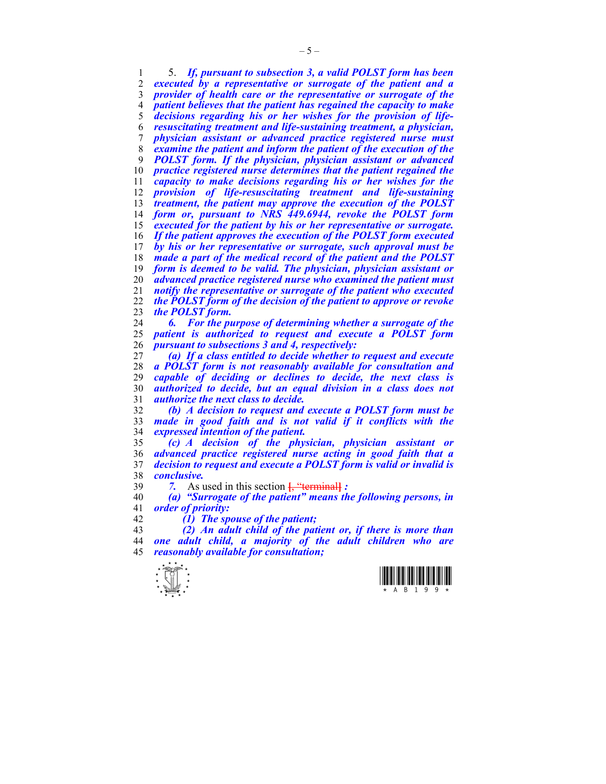1 5. *If, pursuant to subsection 3, a valid POLST form has been executed by a representative or surrogate of the patient and a provider of health care or the representative or surrogate of the patient believes that the patient has regained the capacity to make*  decisions regarding his or her wishes for the provision of life-*resuscitating treatment and life-sustaining treatment, a physician, physician assistant or advanced practice registered nurse must examine the patient and inform the patient of the execution of the POLST form. If the physician, physician assistant or advanced practice registered nurse determines that the patient regained the capacity to make decisions regarding his or her wishes for the provision of life-resuscitating treatment and life-sustaining treatment, the patient may approve the execution of the POLST form or, pursuant to NRS 449.6944, revoke the POLST form executed for the patient by his or her representative or surrogate. If the patient approves the execution of the POLST form executed by his or her representative or surrogate, such approval must be made a part of the medical record of the patient and the POLST form is deemed to be valid. The physician, physician assistant or advanced practice registered nurse who examined the patient must notify the representative or surrogate of the patient who executed the POLST form of the decision of the patient to approve or revoke the POLST form.* 

*6. For the purpose of determining whether a surrogate of the patient is authorized to request and execute a POLST form pursuant to subsections 3 and 4, respectively:* 

*(a) If a class entitled to decide whether to request and execute a POLST form is not reasonably available for consultation and*  capable of deciding or declines to decide, the next class is *authorized to decide, but an equal division in a class does not authorize the next class to decide.* 

*(b) A decision to request and execute a POLST form must be made in good faith and is not valid if it conflicts with the expressed intention of the patient.* 

*(c) A decision of the physician, physician assistant or advanced practice registered nurse acting in good faith that a decision to request and execute a POLST form is valid or invalid is conclusive.* 

*7.* As used in this section **[**, "terminal**]** *:* 

*(a) "Surrogate of the patient" means the following persons, in order of priority:* 

*(1) The spouse of the patient;* 

*(2) An adult child of the patient or, if there is more than one adult child, a majority of the adult children who are reasonably available for consultation;* 



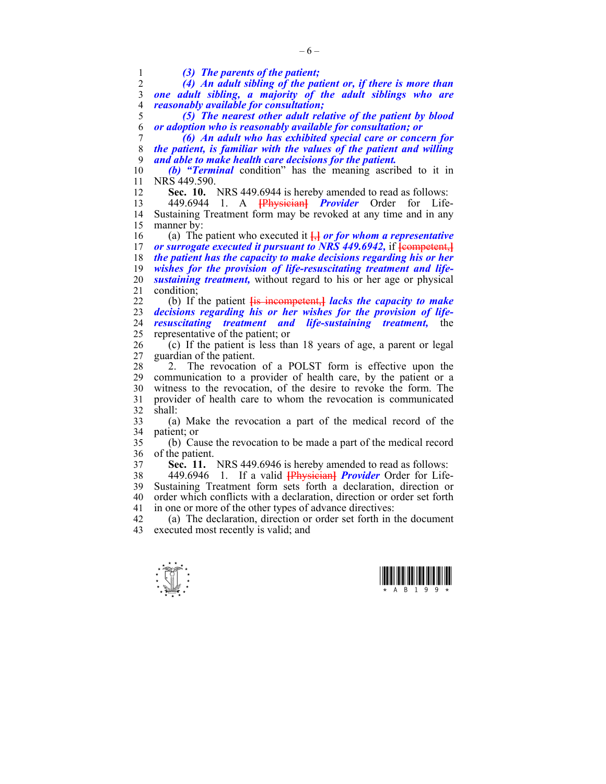$\frac{1}{\sqrt{2}}$ 1 *(3) The parents of the patient;*  2 *(4) An adult sibling of the patient or, if there is more than*  3 *one adult sibling, a majority of the adult siblings who are*  4 *reasonably available for consultation;*  5 *(5) The nearest other adult relative of the patient by blood*  6 *or adoption who is reasonably available for consultation; or*  7 *(6) An adult who has exhibited special care or concern for*  8 *the patient, is familiar with the values of the patient and willing*  9 *and able to make health care decisions for the patient.*  10 *(b) "Terminal* condition" has the meaning ascribed to it in 11 NRS 449.590. 12 **Sec. 10.** NRS 449.6944 is hereby amended to read as follows: 13 449.6944 1. A **[**Physician**]** *Provider* Order for Life-14 Sustaining Treatment form may be revoked at any time and in any 15 manner by: 16 (a) The patient who executed it **[**,**]** *or for whom a representative*  17 *or surrogate executed it pursuant to NRS 449.6942,* if  $\frac{1}{2}$  [competent, **]** 18 *the patient has the capacity to make decisions regarding his or her*  19 *wishes for the provision of life-resuscitating treatment and life-*20 *sustaining treatment,* without regard to his or her age or physical 21 condition; 22 (b) If the patient **[**is incompetent,**]** *lacks the capacity to make*  23 *decisions regarding his or her wishes for the provision of life-*24 *resuscitating treatment and life-sustaining treatment,* the 25 representative of the patient; or  $26$  (c) If the patient is less than 18 years of age, a parent or legal 27 guardian of the patient. 28 2. The revocation of a POLST form is effective upon the 29 communication to a provider of health care, by the patient or a 30 witness to the revocation, of the desire to revoke the form. The 31 provider of health care to whom the revocation is communicated  $32$  shall: 33 (a) Make the revocation a part of the medical record of the 34 patient; or 35 (b) Cause the revocation to be made a part of the medical record 36 of the patient. 37 **Sec. 11.** NRS 449.6946 is hereby amended to read as follows: 38 449.6946 1. If a valid **[**Physician**]** *Provider* Order for Life-39 Sustaining Treatment form sets forth a declaration, direction or 40 order which conflicts with a declaration, direction or order set forth 41 in one or more of the other types of advance directives: 42 (a) The declaration, direction or order set forth in the document 43 executed most recently is valid; and



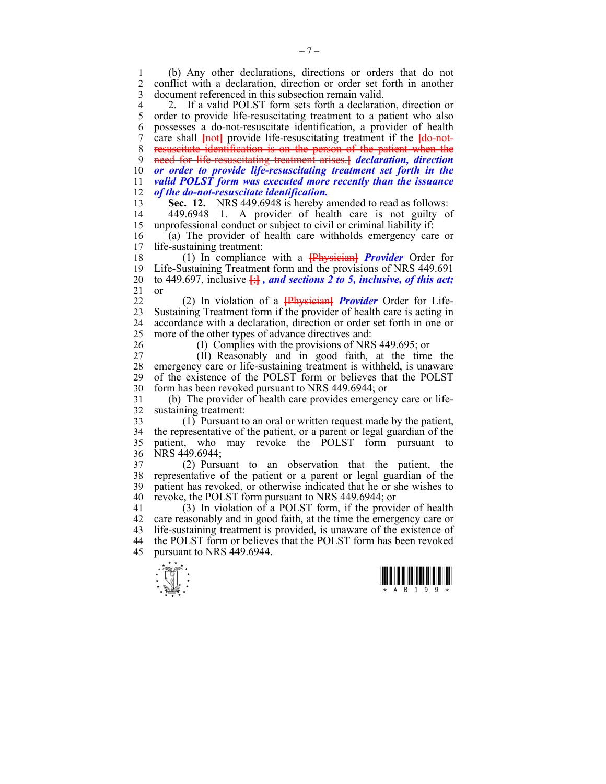1 (b) Any other declarations, directions or orders that do not 2 conflict with a declaration, direction or order set forth in another 3 document referenced in this subsection remain valid.

4 2. If a valid POLST form sets forth a declaration, direction or 5 order to provide life-resuscitating treatment to a patient who also 5 order to provide life-resuscitating treatment to a patient who also 6 possesses a do-not-resuscitate identification, a provider of health 7 care shall **{not}** provide life-resuscitating treatment if the **{do-not-**8 resuscitate identification is on the person of the patient when the 9 need for life-resuscitating treatment arises.**]** *declaration, direction*  10 *or order to provide life-resuscitating treatment set forth in the*  11 *valid POLST form was executed more recently than the issuance*  12 *of the do-not-resuscitate identification.* 

13 **Sec. 12.** NRS 449.6948 is hereby amended to read as follows:

14 449.6948 1. A provider of health care is not guilty of 15 unprofessional conduct or subject to civil or criminal liability if:

16 (a) The provider of health care withholds emergency care or life-sustaining treatment:

18 (1) In compliance with a **[**Physician**]** *Provider* Order for 19 Life-Sustaining Treatment form and the provisions of NRS 449.691 20 to 449.697, inclusive  $\frac{1}{2}$ , and sections 2 to 5, inclusive, of this act; 21 or

22 (2) In violation of a **[**Physician**]** *Provider* Order for Life-23 Sustaining Treatment form if the provider of health care is acting in 24 accordance with a declaration, direction or order set forth in one or 25 more of the other types of advance directives and:

26 (I) Complies with the provisions of NRS 449.695; or

27 (II) Reasonably and in good faith, at the time the 28 emergency care or life-sustaining treatment is withheld, is unaware 29 of the existence of the POLST form or believes that the POLST 29 of the existence of the POLST form or believes that the POLST 30 form has been revoked pursuant to NRS 449.6944; or

31 (b) The provider of health care provides emergency care or life-32 sustaining treatment:

33 (1) Pursuant to an oral or written request made by the patient, 34 the representative of the patient, or a parent or legal guardian of the 35 patient, who may revoke the POLST form pursuant to 36 NRS 449.6944;

37 (2) Pursuant to an observation that the patient, the 38 representative of the patient or a parent or legal guardian of the 39 patient has revoked, or otherwise indicated that he or she wishes to 40 revoke, the POLST form pursuant to NRS 449.6944; or

41 (3) In violation of a POLST form, if the provider of health 42 care reasonably and in good faith, at the time the emergency care or 43 life-sustaining treatment is provided, is unaware of the existence of 44 the POLST form or believes that the POLST form has been revoked 45 pursuant to NRS 449.6944.



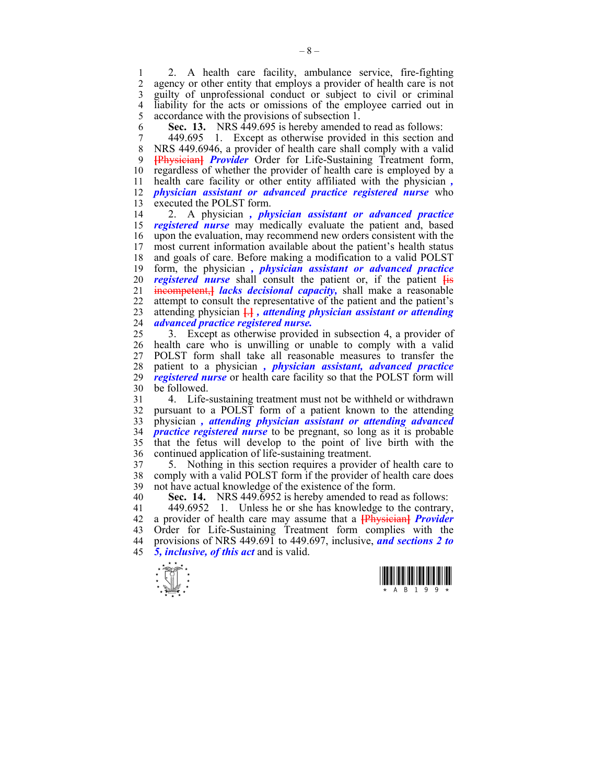1 2. A health care facility, ambulance service, fire-fighting<br>2 agency or other entity that employs a provider of health care is not agency or other entity that employs a provider of health care is not 3 guilty of unprofessional conduct or subject to civil or criminal 4 liability for the acts or omissions of the employee carried out in accordance with the provisions of subsection 1. accordance with the provisions of subsection 1.

6 **Sec. 13.** NRS 449.695 is hereby amended to read as follows:

7 449.695 1. Except as otherwise provided in this section and 8 NRS 449.6946, a provider of health care shall comply with a valid 9 **[**Physician**]** *Provider* Order for Life-Sustaining Treatment form, 10 regardless of whether the provider of health care is employed by a 11 health care facility or other entity affiliated with the physician *,* 12 *physician assistant or advanced practice registered nurse* who 13 executed the POLST form.

14 2. A physician *, physician assistant or advanced practice*  15 *registered nurse* may medically evaluate the patient and, based 16 upon the evaluation, may recommend new orders consistent with the 17 most current information available about the patient's health status 18 and goals of care. Before making a modification to a valid POLST 19 form, the physician *, physician assistant or advanced practice*  20 *registered nurse* shall consult the patient or, if the patient **[**is 21 incompetent,**]** *lacks decisional capacity,* shall make a reasonable 22 attempt to consult the representative of the patient and the patient's 23 attending physician **[**.**]** *, attending physician assistant or attending*  24 *advanced practice registered nurse.*

25 3. Except as otherwise provided in subsection 4, a provider of 26 health care who is unwilling or unable to comply with a valid 27 POLST form shall take all reasonable measures to transfer the 28 patient to a physician *, physician assistant, advanced practice*  29 *registered nurse* or health care facility so that the POLST form will 30 be followed.

31 4. Life-sustaining treatment must not be withheld or withdrawn 32 pursuant to a POLST form of a patient known to the attending 33 physician *, attending physician assistant or attending advanced*  34 *practice registered nurse* to be pregnant, so long as it is probable 35 that the fetus will develop to the point of live birth with the 36 continued application of life-sustaining treatment.

37 5. Nothing in this section requires a provider of health care to 38 comply with a valid POLST form if the provider of health care does 39 not have actual knowledge of the existence of the form.

40 **Sec. 14.** NRS 449.6952 is hereby amended to read as follows:

41 449.6952 1. Unless he or she has knowledge to the contrary, 42 a provider of health care may assume that a **[**Physician**]** *Provider*  43 Order for Life-Sustaining Treatment form complies with the 44 provisions of NRS 449.691 to 449.697, inclusive, *and sections 2 to*  45 *5, inclusive, of this act* and is valid.



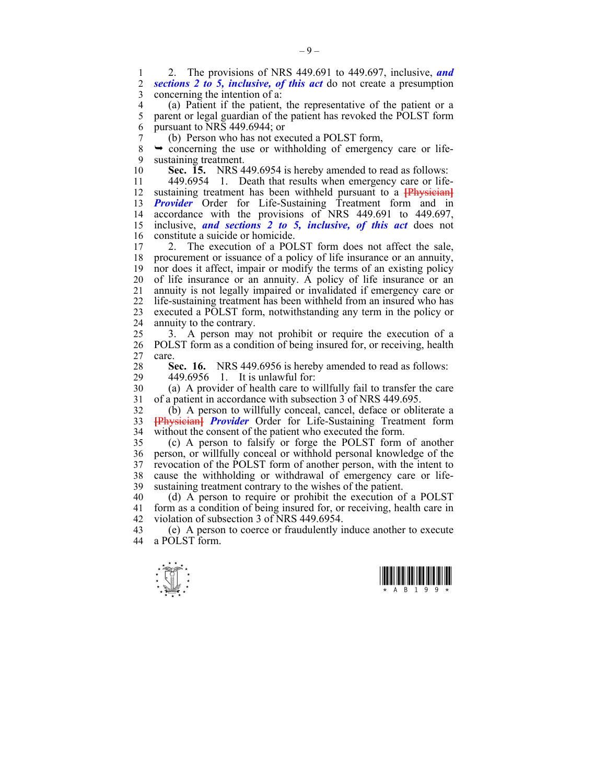1 2. The provisions of NRS 449.691 to 449.697, inclusive, *and*  2 *sections 2 to 5, inclusive, of this act* do not create a presumption 3 concerning the intention of a:

4 (a) Patient if the patient, the representative of the patient or a<br>5 parent or legal guardian of the patient has revoked the POLST form parent or legal guardian of the patient has revoked the POLST form 6 pursuant to NRS 449.6944; or

7 (b) Person who has not executed a POLST form,<br>8  $\rightarrow$  concerning the use or withholding of emergency

 $\rightarrow$  concerning the use or withholding of emergency care or life-9 sustaining treatment.

10 **Sec. 15.** NRS 449.6954 is hereby amended to read as follows:

11 449.6954 1. Death that results when emergency care or life-12 sustaining treatment has been withheld pursuant to a **[**Physician**]** 13 **Provider** Order for Life-Sustaining Treatment form and in 14 accordance with the provisions of NRS 449.691 to 449.697, 15 inclusive, *and sections 2 to 5, inclusive, of this act* does not 16 constitute a suicide or homicide.<br>17 2 The execution of a POI

2. The execution of a POLST form does not affect the sale, 18 procurement or issuance of a policy of life insurance or an annuity, 19 nor does it affect, impair or modify the terms of an existing policy 20 of life insurance or an annuity. A policy of life insurance or an 21 annuity is not legally impaired or invalidated if emergency care or 22 life-sustaining treatment has been withheld from an insured who has 23 executed a POLST form, notwithstanding any term in the policy or 24 annuity to the contrary.

25 3. A person may not prohibit or require the execution of a 26 POLST form as a condition of being insured for, or receiving, health 27 care.

**Sec. 16.** NRS 449.6956 is hereby amended to read as follows:<br>29 449.6956 1 It is unlawful for:

29 449.6956 1. It is unlawful for:

30 (a) A provider of health care to willfully fail to transfer the care 31 of a patient in accordance with subsection 3 of NRS 449.695.

32 (b) A person to willfully conceal, cancel, deface or obliterate a 33 **[**Physician**]** *Provider* Order for Life-Sustaining Treatment form 34 without the consent of the patient who executed the form.

35 (c) A person to falsify or forge the POLST form of another 36 person, or willfully conceal or withhold personal knowledge of the 37 revocation of the POLST form of another person, with the intent to 38 cause the withholding or withdrawal of emergency care or life-39 sustaining treatment contrary to the wishes of the patient.

40 (d) A person to require or prohibit the execution of a POLST 41 form as a condition of being insured for, or receiving, health care in 42 violation of subsection 3 of NRS 449.6954.

43 (e) A person to coerce or fraudulently induce another to execute a POLST form.



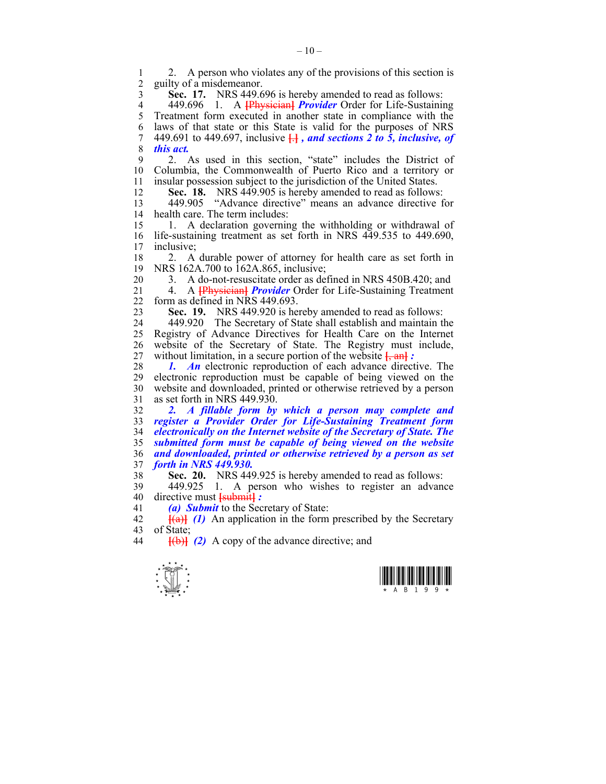2. A person who violates any of the provisions of this section is<br>2. guilty of a misdemeanor 2 guilty of a misdemeanor.

3 **Sec. 17.** NRS 449.696 is hereby amended to read as follows:

4 449.696 1. A **[**Physician**]** *Provider* Order for Life-Sustaining 5 Treatment form executed in another state in compliance with the 6 laws of that state or this State is valid for the purposes of NRS 7 449.691 to 449.697, inclusive **[**.**]** *, and sections 2 to 5, inclusive, of*  8 *this act.*

9 2. As used in this section, "state" includes the District of 10 Columbia, the Commonwealth of Puerto Rico and a territory or 11 insular possession subject to the jurisdiction of the United States.

12 **Sec. 18.** NRS 449.905 is hereby amended to read as follows:

13 449.905 "Advance directive" means an advance directive for<br>14 health care. The term includes: health care. The term includes:

15 1. A declaration governing the withholding or withdrawal of 16 life-sustaining treatment as set forth in NRS 449.535 to 449.690, inclusive: inclusive:

18 2. A durable power of attorney for health care as set forth in 19 NRS 162A.700 to 162A.865, inclusive;

20 3. A do-not-resuscitate order as defined in NRS 450B.420; and

21 4. A **[**Physician**]** *Provider* Order for Life-Sustaining Treatment 22 form as defined in NRS 449.693.

23 **Sec. 19.** NRS 449.920 is hereby amended to read as follows:

24 449.920 The Secretary of State shall establish and maintain the 25 Registry of Advance Directives for Health Care on the Internet 26 website of the Secretary of State. The Registry must include, 27 without limitation, in a secure portion of the website **[**, an**]** *:* 

28 *1. An* electronic reproduction of each advance directive. The 29 electronic reproduction must be capable of being viewed on the 30 website and downloaded, printed or otherwise retrieved by a person 31 as set forth in NRS 449.930.

*2. A fillable form by which a person may complete and register a Provider Order for Life-Sustaining Treatment form electronically on the Internet website of the Secretary of State. The submitted form must be capable of being viewed on the website and downloaded, printed or otherwise retrieved by a person as set forth in NRS 449.930.* 

38 **Sec. 20.** NRS 449.925 is hereby amended to read as follows:

39 449.925 1. A person who wishes to register an advance 40 directive must **[**submit**]** *:* 

41 *(a) Submit* to the Secretary of State:

42 **[**(a)**]** *(1)* An application in the form prescribed by the Secretary 43 of State;

44 **[**(b)**]** *(2)* A copy of the advance directive; and



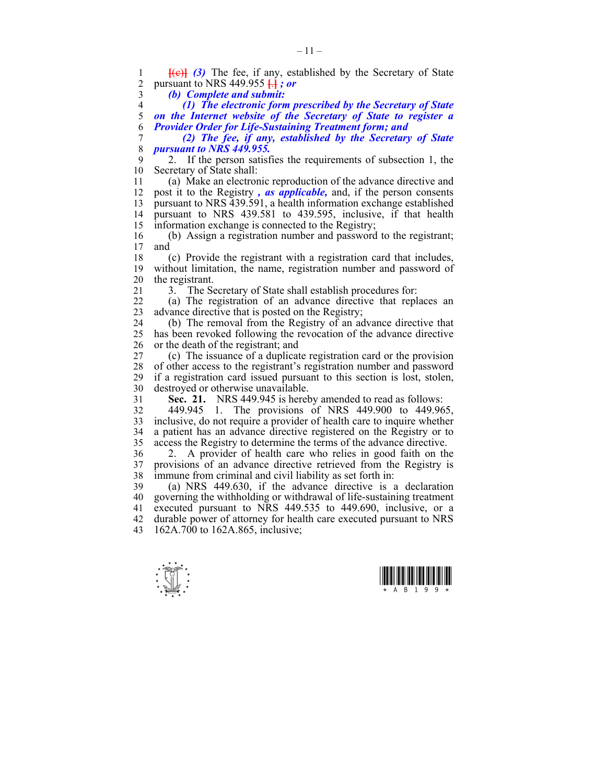$\frac{1}{\sqrt{2}}$ 1 **[(e)]** (3) The fee, if any, established by the Secretary of State 2 pursuant to NRS 449 955  $\rightarrow$  *s* or 2 pursuant to NRS 449.955 **[**.**]** *; or*  3 *(b) Complete and submit:*  4 *(1) The electronic form prescribed by the Secretary of State*  5 *on the Internet website of the Secretary of State to register a*  6 *Provider Order for Life-Sustaining Treatment form; and*  7 *(2) The fee, if any, established by the Secretary of State*  8 *pursuant to NRS 449.955.*  9 2. If the person satisfies the requirements of subsection 1, the Secretary of State shall: Secretary of State shall: 11 (a) Make an electronic reproduction of the advance directive and 12 post it to the Registry *, as applicable,* and, if the person consents 13 pursuant to NRS 439.591, a health information exchange established 14 pursuant to NRS 439.581 to 439.595, inclusive, if that health 15 information exchange is connected to the Registry; 16 (b) Assign a registration number and password to the registrant; and 18 (c) Provide the registrant with a registration card that includes, 19 without limitation, the name, registration number and password of 20 the registrant. 21 3. The Secretary of State shall establish procedures for: 22 (a) The registration of an advance directive that replaces an 23 advance directive that is posted on the Registry; 24 (b) The removal from the Registry of an advance directive that 25 has been revoked following the revocation of the advance directive 26 or the death of the registrant; and 27 (c) The issuance of a duplicate registration card or the provision 28 of other access to the registrant's registration number and password if a registration card issued pursuant to this section is lost, stolen. if a registration card issued pursuant to this section is lost, stolen, 30 destroyed or otherwise unavailable. 31 **Sec. 21.** NRS 449.945 is hereby amended to read as follows: 32 449.945 1. The provisions of NRS 449.900 to 449.965, 33 inclusive, do not require a provider of health care to inquire whether 34 a patient has an advance directive registered on the Registry or to 35 access the Registry to determine the terms of the advance directive. 36 2. A provider of health care who relies in good faith on the 37 provisions of an advance directive retrieved from the Registry is 38 immune from criminal and civil liability as set forth in: 39 (a) NRS 449.630, if the advance directive is a declaration 40 governing the withholding or withdrawal of life-sustaining treatment 41 executed pursuant to NRS 449.535 to 449.690, inclusive, or a 42 durable power of attorney for health care executed pursuant to NRS 43 162A.700 to 162A.865, inclusive;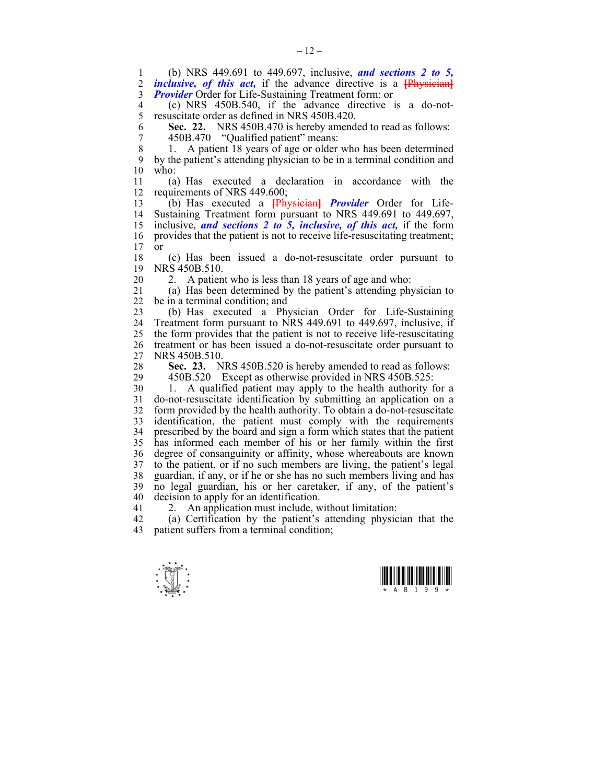1 (b) NRS 449.691 to 449.697, inclusive, *and sections 2 to 5, inclusive, of this act,* if the advance directive is a **[Physician]** 3 *Provider* Order for Life-Sustaining Treatment form; or

4 (c) NRS 450B.540, if the advance directive is a do-not-5 resuscitate order as defined in NRS 450B.420.

6 **Sec. 22.** NRS 450B.470 is hereby amended to read as follows:

7 450B.470 "Qualified patient" means:

8 1. A patient 18 years of age or older who has been determined 9 by the patient's attending physician to be in a terminal condition and  $10$  who:

11 (a) Has executed a declaration in accordance with the 12 requirements of NRS 449.600;

13 (b) Has executed a **[**Physician**]** *Provider* Order for Life-14 Sustaining Treatment form pursuant to NRS 449.691 to 449.697, 15 inclusive, *and sections 2 to 5, inclusive, of this act,* if the form 16 provides that the patient is not to receive life-resuscitating treatment;  $17$  or

18 (c) Has been issued a do-not-resuscitate order pursuant to 19 NRS 450B.510.

20 2. A patient who is less than 18 years of age and who:

21 (a) Has been determined by the patient's attending physician to 22 be in a terminal condition; and

23 (b) Has executed a Physician Order for Life-Sustaining 24 Treatment form pursuant to NRS 449.691 to 449.697, inclusive, if 25 the form provides that the patient is not to receive life-resuscitating 26 treatment or has been issued a do-not-resuscitate order pursuant to 27 NRS 450B.510.

28 **Sec. 23.** NRS 450B.520 is hereby amended to read as follows:<br>29 450B 520 Except as otherwise provided in NRS 450B 525: 450B.520 Except as otherwise provided in NRS 450B.525:

30 1. A qualified patient may apply to the health authority for a 31 do-not-resuscitate identification by submitting an application on a 32 form provided by the health authority. To obtain a do-not-resuscitate 33 identification, the patient must comply with the requirements 34 prescribed by the board and sign a form which states that the patient 35 has informed each member of his or her family within the first 36 degree of consanguinity or affinity, whose whereabouts are known 37 to the patient, or if no such members are living, the patient's legal 38 guardian, if any, or if he or she has no such members living and has 39 no legal guardian, his or her caretaker, if any, of the patient's 40 decision to apply for an identification.

41 2. An application must include, without limitation:

42 (a) Certification by the patient's attending physician that the 43 patient suffers from a terminal condition;



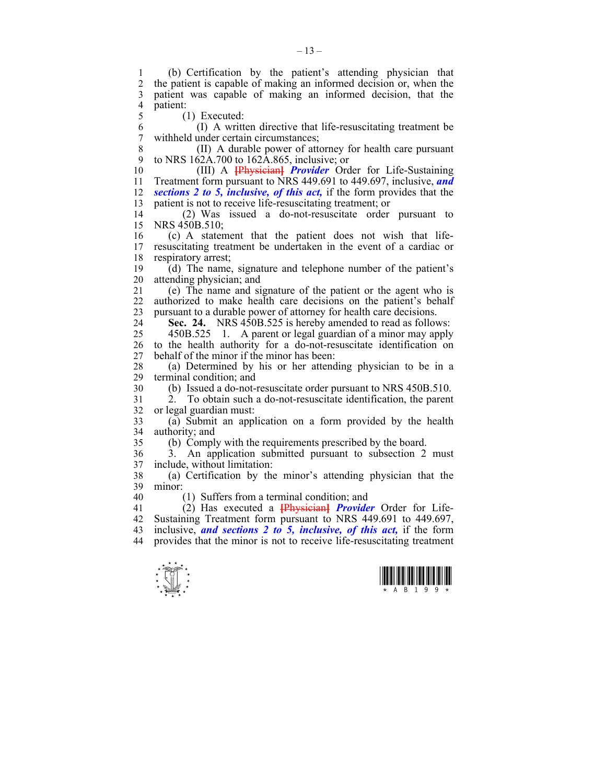1 (b) Certification by the patient's attending physician that the patient is capable of making an informed decision or, when the 3 patient was capable of making an informed decision, that the  $\frac{4}{5}$  patient: 5 (1) Executed: 6 (I) A written directive that life-resuscitating treatment be 7 withheld under certain circumstances;

8 (II) A durable power of attorney for health care pursuant 9 to NRS 162A.700 to 162A.865, inclusive; or

10 (III) A **[**Physician**]** *Provider* Order for Life-Sustaining 11 Treatment form pursuant to NRS 449.691 to 449.697, inclusive, *and*  12 *sections 2 to 5, inclusive, of this act,* if the form provides that the 13 patient is not to receive life-resuscitating treatment; or

14 (2) Was issued a do-not-resuscitate order pursuant to 15 NRS 450B.510;

16 (c) A statement that the patient does not wish that life-<br>17 resuscitating treatment be undertaken in the event of a cardiac or 17 resuscitating treatment be undertaken in the event of a cardiac or 18 respiratory arrest;

19 (d) The name, signature and telephone number of the patient's 20 attending physician; and

21 (e) The name and signature of the patient or the agent who is<br>22 authorized to make health care decisions on the patient's behalf authorized to make health care decisions on the patient's behalf 23 pursuant to a durable power of attorney for health care decisions.

24 **Sec. 24.** NRS 450B.525 is hereby amended to read as follows:

25 450B.525 1. A parent or legal guardian of a minor may apply 26 to the health authority for a do-not-resuscitate identification on 27 behalf of the minor if the minor has been:

28 (a) Determined by his or her attending physician to be in a terminal condition; and

30 (b) Issued a do-not-resuscitate order pursuant to NRS 450B.510.

31 2. To obtain such a do-not-resuscitate identification, the parent 32 or legal guardian must:

33 (a) Submit an application on a form provided by the health 34 authority; and

35 (b) Comply with the requirements prescribed by the board.

36 3. An application submitted pursuant to subsection 2 must 37 include, without limitation:

38 (a) Certification by the minor's attending physician that the 39 minor:

40 (1) Suffers from a terminal condition; and

41 (2) Has executed a **[**Physician**]** *Provider* Order for Life-42 Sustaining Treatment form pursuant to NRS 449.691 to 449.697, 43 inclusive, *and sections 2 to 5, inclusive, of this act,* if the form 44 provides that the minor is not to receive life-resuscitating treatment



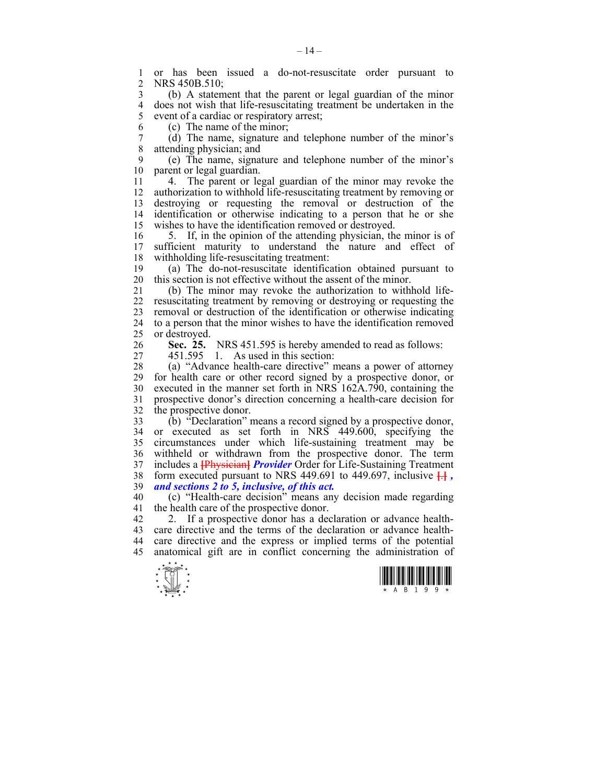1 or has been issued a do-not-resuscitate order pursuant to NRS 450B.510:

3 (b) A statement that the parent or legal guardian of the minor 4 does not wish that life-resuscitating treatment be undertaken in the event of a cardiac or respiratory arrest: event of a cardiac or respiratory arrest;

6 (c) The name of the minor;

7 (d) The name, signature and telephone number of the minor's attending physician: and attending physician; and

9 (e) The name, signature and telephone number of the minor's 10 parent or legal guardian.

11 4. The parent or legal guardian of the minor may revoke the 12 authorization to withhold life-resuscitating treatment by removing or 13 destroying or requesting the removal or destruction of the 14 identification or otherwise indicating to a person that he or she 15 wishes to have the identification removed or destroyed.

16 5. If, in the opinion of the attending physician, the minor is of 17 sufficient maturity to understand the nature and effect of sufficient maturity to understand the nature and effect of 18 withholding life-resuscitating treatment:

19 (a) The do-not-resuscitate identification obtained pursuant to 20 this section is not effective without the assent of the minor.

21 (b) The minor may revoke the authorization to withhold life-22 resuscitating treatment by removing or destroying or requesting the 23 removal or destruction of the identification or otherwise indicating 24 to a person that the minor wishes to have the identification removed 25 or destroyed.

26 **Sec. 25.** NRS 451.595 is hereby amended to read as follows:

27 451.595 1. As used in this section:

28 (a) "Advance health-care directive" means a power of attorney 29 for health care or other record signed by a prospective donor, or 30 executed in the manner set forth in NRS 162A.790, containing the 31 prospective donor's direction concerning a health-care decision for 32 the prospective donor.

33 (b) "Declaration" means a record signed by a prospective donor, 34 or executed as set forth in NRS 449.600, specifying the 35 circumstances under which life-sustaining treatment may be 36 withheld or withdrawn from the prospective donor. The term 37 includes a **[**Physician**]** *Provider* Order for Life-Sustaining Treatment 38 form executed pursuant to NRS 449.691 to 449.697, inclusive **[**.**]** *,* 39 *and sections 2 to 5, inclusive, of this act.*

40 (c) "Health-care decision" means any decision made regarding 41 the health care of the prospective donor.

42 2. If a prospective donor has a declaration or advance health-43 care directive and the terms of the declaration or advance health-44 care directive and the express or implied terms of the potential 45 anatomical gift are in conflict concerning the administration of